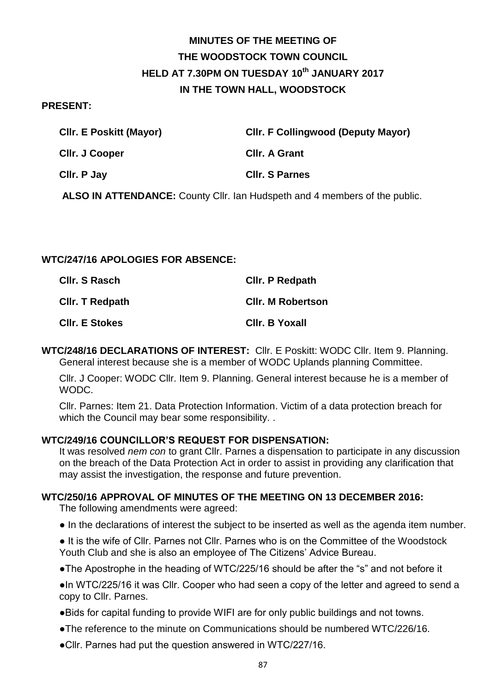# **MINUTES OF THE MEETING OF THE WOODSTOCK TOWN COUNCIL HELD AT 7.30PM ON TUESDAY 10th JANUARY 2017 IN THE TOWN HALL, WOODSTOCK**

#### **PRESENT:**

| <b>CIIr. E Poskitt (Mayor)</b> | <b>CIIr. F Collingwood (Deputy Mayor)</b> |
|--------------------------------|-------------------------------------------|
| CIIr. J Cooper                 | <b>CIIr. A Grant</b>                      |
| CIIr. P Jay                    | <b>CIIr. S Parnes</b>                     |

**ALSO IN ATTENDANCE:** County Cllr. Ian Hudspeth and 4 members of the public.

## **WTC/247/16 APOLOGIES FOR ABSENCE:**

| CIIr. S Rasch         | <b>CIIr. P Redpath</b>   |
|-----------------------|--------------------------|
| CIIr. T Redpath       | <b>CIIr. M Robertson</b> |
| <b>CIIr. E Stokes</b> | Cllr. B Yoxall           |

**WTC/248/16 DECLARATIONS OF INTEREST:** Cllr. E Poskitt: WODC Cllr. Item 9. Planning. General interest because she is a member of WODC Uplands planning Committee.

Cllr. J Cooper: WODC Cllr. Item 9. Planning. General interest because he is a member of WODC.

Cllr. Parnes: Item 21. Data Protection Information. Victim of a data protection breach for which the Council may bear some responsibility. .

## **WTC/249/16 COUNCILLOR'S REQUEST FOR DISPENSATION:**

It was resolved *nem con* to grant Cllr. Parnes a dispensation to participate in any discussion on the breach of the Data Protection Act in order to assist in providing any clarification that may assist the investigation, the response and future prevention.

## **WTC/250/16 APPROVAL OF MINUTES OF THE MEETING ON 13 DECEMBER 2016:**

The following amendments were agreed:

- In the declarations of interest the subject to be inserted as well as the agenda item number.
- It is the wife of Cllr. Parnes not Cllr. Parnes who is on the Committee of the Woodstock Youth Club and she is also an employee of The Citizens' Advice Bureau.
- ●The Apostrophe in the heading of WTC/225/16 should be after the "s" and not before it

●In WTC/225/16 it was Cllr. Cooper who had seen a copy of the letter and agreed to send a copy to Cllr. Parnes.

- ●Bids for capital funding to provide WIFI are for only public buildings and not towns.
- ●The reference to the minute on Communications should be numbered WTC/226/16.
- ●Cllr. Parnes had put the question answered in WTC/227/16.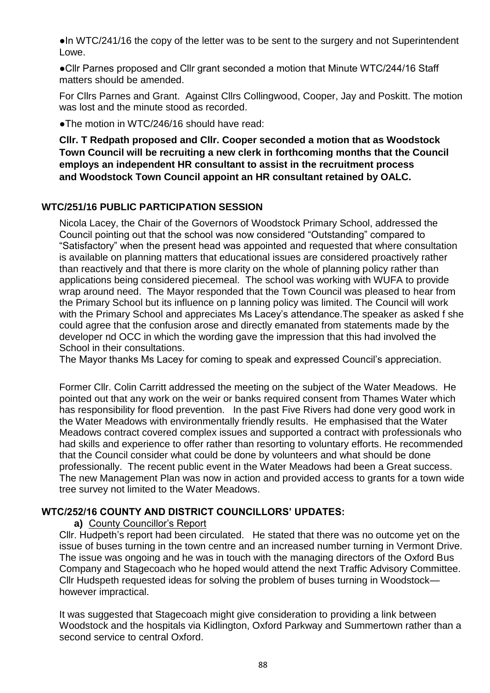●In WTC/241/16 the copy of the letter was to be sent to the surgery and not Superintendent Lowe.

●Cllr Parnes proposed and Cllr grant seconded a motion that Minute WTC/244/16 Staff matters should be amended.

For Cllrs Parnes and Grant. Against Cllrs Collingwood, Cooper, Jay and Poskitt. The motion was lost and the minute stood as recorded.

●The motion in WTC/246/16 should have read:

**Cllr. T Redpath proposed and Cllr. Cooper seconded a motion that as Woodstock Town Council will be recruiting a new clerk in forthcoming months that the Council employs an independent HR consultant to assist in the recruitment process and Woodstock Town Council appoint an HR consultant retained by OALC.**

# **WTC/251/16 PUBLIC PARTICIPATION SESSION**

Nicola Lacey, the Chair of the Governors of Woodstock Primary School, addressed the Council pointing out that the school was now considered "Outstanding" compared to "Satisfactory" when the present head was appointed and requested that where consultation is available on planning matters that educational issues are considered proactively rather than reactively and that there is more clarity on the whole of planning policy rather than applications being considered piecemeal. The school was working with WUFA to provide wrap around need. The Mayor responded that the Town Council was pleased to hear from the Primary School but its influence on p lanning policy was limited. The Council will work with the Primary School and appreciates Ms Lacey's attendance.The speaker as asked f she could agree that the confusion arose and directly emanated from statements made by the developer nd OCC in which the wording gave the impression that this had involved the School in their consultations.

The Mayor thanks Ms Lacey for coming to speak and expressed Council's appreciation.

Former Cllr. Colin Carritt addressed the meeting on the subject of the Water Meadows. He pointed out that any work on the weir or banks required consent from Thames Water which has responsibility for flood prevention. In the past Five Rivers had done very good work in the Water Meadows with environmentally friendly results. He emphasised that the Water Meadows contract covered complex issues and supported a contract with professionals who had skills and experience to offer rather than resorting to voluntary efforts. He recommended that the Council consider what could be done by volunteers and what should be done professionally. The recent public event in the Water Meadows had been a Great success. The new Management Plan was now in action and provided access to grants for a town wide tree survey not limited to the Water Meadows.

# **WTC/252/16 COUNTY AND DISTRICT COUNCILLORS' UPDATES:**

## **a)** County Councillor's Report

Cllr. Hudpeth's report had been circulated. He stated that there was no outcome yet on the issue of buses turning in the town centre and an increased number turning in Vermont Drive. The issue was ongoing and he was in touch with the managing directors of the Oxford Bus Company and Stagecoach who he hoped would attend the next Traffic Advisory Committee. Cllr Hudspeth requested ideas for solving the problem of buses turning in Woodstock however impractical.

It was suggested that Stagecoach might give consideration to providing a link between Woodstock and the hospitals via Kidlington, Oxford Parkway and Summertown rather than a second service to central Oxford.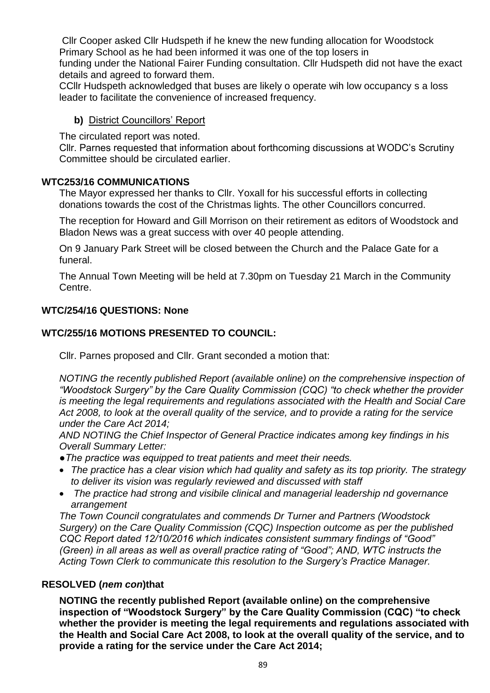Cllr Cooper asked Cllr Hudspeth if he knew the new funding allocation for Woodstock Primary School as he had been informed it was one of the top losers in

funding under the National Fairer Funding consultation. Cllr Hudspeth did not have the exact details and agreed to forward them.

CCllr Hudspeth acknowledged that buses are likely o operate wih low occupancy s a loss leader to facilitate the convenience of increased frequency.

## **b)** District Councillors' Report

The circulated report was noted.

Cllr. Parnes requested that information about forthcoming discussions at WODC's Scrutiny Committee should be circulated earlier.

## **WTC253/16 COMMUNICATIONS**

The Mayor expressed her thanks to Cllr. Yoxall for his successful efforts in collecting donations towards the cost of the Christmas lights. The other Councillors concurred.

The reception for Howard and Gill Morrison on their retirement as editors of Woodstock and Bladon News was a great success with over 40 people attending.

On 9 January Park Street will be closed between the Church and the Palace Gate for a funeral.

The Annual Town Meeting will be held at 7.30pm on Tuesday 21 March in the Community Centre.

## **WTC/254/16 QUESTIONS: None**

# **WTC/255/16 MOTIONS PRESENTED TO COUNCIL:**

Cllr. Parnes proposed and Cllr. Grant seconded a motion that:

*NOTING the recently published Report (available online) on the comprehensive inspection of "Woodstock Surgery" by the Care Quality Commission (CQC) "to check whether the provider is meeting the legal requirements and regulations associated with the Health and Social Care Act 2008, to look at the overall quality of the service, and to provide a rating for the service under the Care Act 2014;* 

*AND NOTING the Chief Inspector of General Practice indicates among key findings in his Overall Summary Letter:* 

*●The practice was equipped to treat patients and meet their needs.* 

- *The practice has a clear vision which had quality and safety as its top priority. The strategy to deliver its vision was regularly reviewed and discussed with staff*
- *The practice had strong and visibile clinical and managerial leadership nd governance arrangement*

*The Town Council congratulates and commends Dr Turner and Partners (Woodstock Surgery) on the Care Quality Commission (CQC) Inspection outcome as per the published CQC Report dated 12/10/2016 which indicates consistent summary findings of "Good" (Green) in all areas as well as overall practice rating of "Good"; AND, WTC instructs the Acting Town Clerk to communicate this resolution to the Surgery's Practice Manager.*

# **RESOLVED (***nem con***)that**

**NOTING the recently published Report (available online) on the comprehensive inspection of "Woodstock Surgery" by the Care Quality Commission (CQC) "to check whether the provider is meeting the legal requirements and regulations associated with the Health and Social Care Act 2008, to look at the overall quality of the service, and to provide a rating for the service under the Care Act 2014;**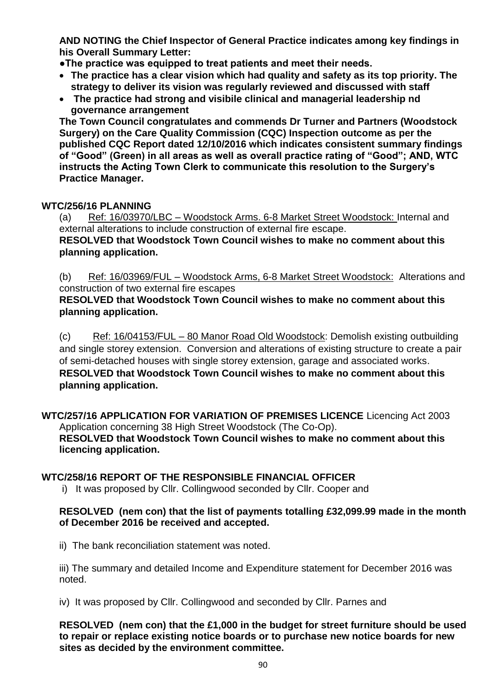**AND NOTING the Chief Inspector of General Practice indicates among key findings in his Overall Summary Letter:** 

**●The practice was equipped to treat patients and meet their needs.** 

- **The practice has a clear vision which had quality and safety as its top priority. The strategy to deliver its vision was regularly reviewed and discussed with staff**
- **The practice had strong and visibile clinical and managerial leadership nd governance arrangement**

**The Town Council congratulates and commends Dr Turner and Partners (Woodstock Surgery) on the Care Quality Commission (CQC) Inspection outcome as per the published CQC Report dated 12/10/2016 which indicates consistent summary findings of "Good" (Green) in all areas as well as overall practice rating of "Good"; AND, WTC instructs the Acting Town Clerk to communicate this resolution to the Surgery's Practice Manager.**

## **WTC/256/16 PLANNING**

(a) Ref: 16/03970/LBC – Woodstock Arms. 6-8 Market Street Woodstock: Internal and external alterations to include construction of external fire escape. **RESOLVED that Woodstock Town Council wishes to make no comment about this planning application.**

(b) Ref: 16/03969/FUL – Woodstock Arms, 6-8 Market Street Woodstock: Alterations and construction of two external fire escapes

**RESOLVED that Woodstock Town Council wishes to make no comment about this planning application.**

(c) Ref: 16/04153/FUL – 80 Manor Road Old Woodstock: Demolish existing outbuilding and single storey extension. Conversion and alterations of existing structure to create a pair of semi-detached houses with single storey extension, garage and associated works. **RESOLVED that Woodstock Town Council wishes to make no comment about this planning application.**

**WTC/257/16 APPLICATION FOR VARIATION OF PREMISES LICENCE** Licencing Act 2003 Application concerning 38 High Street Woodstock (The Co-Op). **RESOLVED that Woodstock Town Council wishes to make no comment about this licencing application.**

## **WTC/258/16 REPORT OF THE RESPONSIBLE FINANCIAL OFFICER**

i) It was proposed by Cllr. Collingwood seconded by Cllr. Cooper and

## **RESOLVED (nem con) that the list of payments totalling £32,099.99 made in the month of December 2016 be received and accepted.**

ii) The bank reconciliation statement was noted.

iii) The summary and detailed Income and Expenditure statement for December 2016 was noted.

iv) It was proposed by Cllr. Collingwood and seconded by Cllr. Parnes and

**RESOLVED (nem con) that the £1,000 in the budget for street furniture should be used to repair or replace existing notice boards or to purchase new notice boards for new sites as decided by the environment committee.**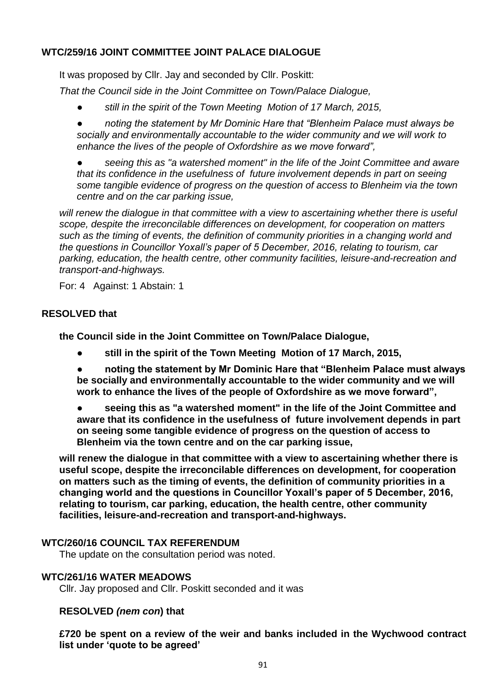# **WTC/259/16 JOINT COMMITTEE JOINT PALACE DIALOGUE**

It was proposed by Cllr. Jay and seconded by Cllr. Poskitt:

*That the Council side in the Joint Committee on Town/Palace Dialogue,*

*● still in the spirit of the Town Meeting Motion of 17 March, 2015,*

*● noting the statement by Mr Dominic Hare that "Blenheim Palace must always be socially and environmentally accountable to the wider community and we will work to enhance the lives of the people of Oxfordshire as we move forward",*

*● seeing this as "a watershed moment" in the life of the Joint Committee and aware that its confidence in the usefulness of future involvement depends in part on seeing some tangible evidence of progress on the question of access to Blenheim via the town centre and on the car parking issue,*

will renew the dialogue in that committee with a view to ascertaining whether there is useful *scope, despite the irreconcilable differences on development, for cooperation on matters such as the timing of events, the definition of community priorities in a changing world and the questions in Councillor Yoxall's paper of 5 December, 2016, relating to tourism, car parking, education, the health centre, other community facilities, leisure-and-recreation and transport-and-highways.*

For: 4 Against: 1 Abstain: 1

## **RESOLVED that**

**the Council side in the Joint Committee on Town/Palace Dialogue,**

**● still in the spirit of the Town Meeting Motion of 17 March, 2015,**

**● noting the statement by Mr Dominic Hare that "Blenheim Palace must always be socially and environmentally accountable to the wider community and we will work to enhance the lives of the people of Oxfordshire as we move forward",**

**● seeing this as "a watershed moment" in the life of the Joint Committee and aware that its confidence in the usefulness of future involvement depends in part on seeing some tangible evidence of progress on the question of access to Blenheim via the town centre and on the car parking issue,**

**will renew the dialogue in that committee with a view to ascertaining whether there is useful scope, despite the irreconcilable differences on development, for cooperation on matters such as the timing of events, the definition of community priorities in a changing world and the questions in Councillor Yoxall's paper of 5 December, 2016, relating to tourism, car parking, education, the health centre, other community facilities, leisure-and-recreation and transport-and-highways.**

## **WTC/260/16 COUNCIL TAX REFERENDUM**

The update on the consultation period was noted.

## **WTC/261/16 WATER MEADOWS**

Cllr. Jay proposed and Cllr. Poskitt seconded and it was

## **RESOLVED** *(nem con***) that**

**£720 be spent on a review of the weir and banks included in the Wychwood contract list under 'quote to be agreed'**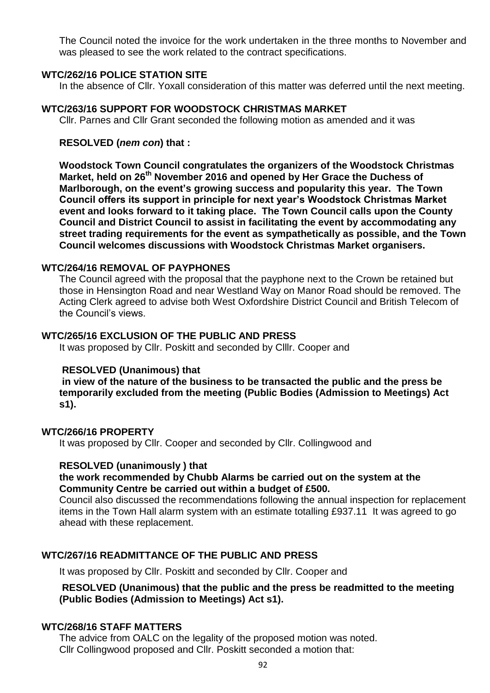The Council noted the invoice for the work undertaken in the three months to November and was pleased to see the work related to the contract specifications.

#### **WTC/262/16 POLICE STATION SITE**

In the absence of Cllr. Yoxall consideration of this matter was deferred until the next meeting.

#### **WTC/263/16 SUPPORT FOR WOODSTOCK CHRISTMAS MARKET**

Cllr. Parnes and Cllr Grant seconded the following motion as amended and it was

#### **RESOLVED (***nem con***) that :**

**Woodstock Town Council congratulates the organizers of the Woodstock Christmas Market, held on 26th November 2016 and opened by Her Grace the Duchess of Marlborough, on the event's growing success and popularity this year. The Town Council offers its support in principle for next year's Woodstock Christmas Market event and looks forward to it taking place. The Town Council calls upon the County Council and District Council to assist in facilitating the event by accommodating any street trading requirements for the event as sympathetically as possible, and the Town Council welcomes discussions with Woodstock Christmas Market organisers.**

## **WTC/264/16 REMOVAL OF PAYPHONES**

The Council agreed with the proposal that the payphone next to the Crown be retained but those in Hensington Road and near Westland Way on Manor Road should be removed. The Acting Clerk agreed to advise both West Oxfordshire District Council and British Telecom of the Council's views.

#### **WTC/265/16 EXCLUSION OF THE PUBLIC AND PRESS**

It was proposed by Cllr. Poskitt and seconded by Clllr. Cooper and

#### **RESOLVED (Unanimous) that**

**in view of the nature of the business to be transacted the public and the press be temporarily excluded from the meeting (Public Bodies (Admission to Meetings) Act s1).**

#### **WTC/266/16 PROPERTY**

It was proposed by Cllr. Cooper and seconded by Cllr. Collingwood and

#### **RESOLVED (unanimously ) that**

#### **the work recommended by Chubb Alarms be carried out on the system at the Community Centre be carried out within a budget of £500.**

Council also discussed the recommendations following the annual inspection for replacement items in the Town Hall alarm system with an estimate totalling £937.11 It was agreed to go ahead with these replacement.

#### **WTC/267/16 READMITTANCE OF THE PUBLIC AND PRESS**

It was proposed by Cllr. Poskitt and seconded by Cllr. Cooper and

## **RESOLVED (Unanimous) that the public and the press be readmitted to the meeting (Public Bodies (Admission to Meetings) Act s1).**

#### **WTC/268/16 STAFF MATTERS**

The advice from OALC on the legality of the proposed motion was noted. Cllr Collingwood proposed and Cllr. Poskitt seconded a motion that: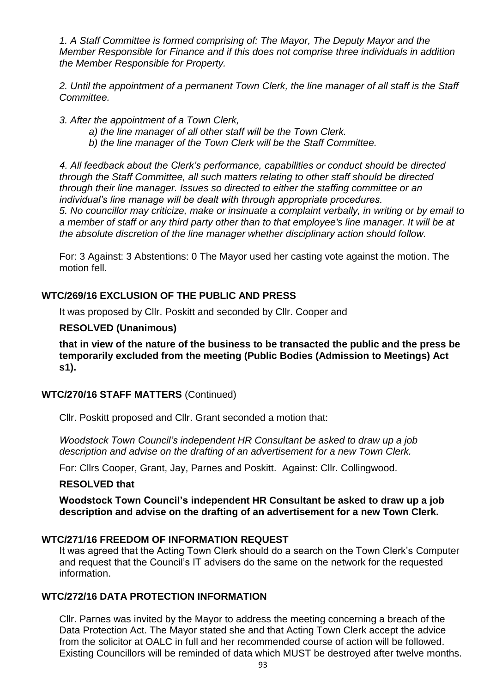*1. A Staff Committee is formed comprising of: The Mayor, The Deputy Mayor and the Member Responsible for Finance and if this does not comprise three individuals in addition the Member Responsible for Property.*

2. Until the appointment of a permanent Town Clerk, the line manager of all staff is the Staff *Committee.*

*3. After the appointment of a Town Clerk,* 

- *a) the line manager of all other staff will be the Town Clerk.*
- *b) the line manager of the Town Clerk will be the Staff Committee.*

*4. All feedback about the Clerk's performance, capabilities or conduct should be directed through the Staff Committee, all such matters relating to other staff should be directed through their line manager. Issues so directed to either the staffing committee or an individual's line manage will be dealt with through appropriate procedures. 5. No councillor may criticize, make or insinuate a complaint verbally, in writing or by email to a member of staff or any third party other than to that employee's line manager. It will be at the absolute discretion of the line manager whether disciplinary action should follow.* 

For: 3 Against: 3 Abstentions: 0 The Mayor used her casting vote against the motion. The motion fell.

## **WTC/269/16 EXCLUSION OF THE PUBLIC AND PRESS**

It was proposed by Cllr. Poskitt and seconded by Cllr. Cooper and

#### **RESOLVED (Unanimous)**

**that in view of the nature of the business to be transacted the public and the press be temporarily excluded from the meeting (Public Bodies (Admission to Meetings) Act s1).**

## **WTC/270/16 STAFF MATTERS** (Continued)

Cllr. Poskitt proposed and Cllr. Grant seconded a motion that:

*Woodstock Town Council's independent HR Consultant be asked to draw up a job description and advise on the drafting of an advertisement for a new Town Clerk.*

For: Cllrs Cooper, Grant, Jay, Parnes and Poskitt. Against: Cllr. Collingwood.

#### **RESOLVED that**

**Woodstock Town Council's independent HR Consultant be asked to draw up a job description and advise on the drafting of an advertisement for a new Town Clerk.**

## **WTC/271/16 FREEDOM OF INFORMATION REQUEST**

It was agreed that the Acting Town Clerk should do a search on the Town Clerk's Computer and request that the Council's IT advisers do the same on the network for the requested information.

## **WTC/272/16 DATA PROTECTION INFORMATION**

Cllr. Parnes was invited by the Mayor to address the meeting concerning a breach of the Data Protection Act. The Mayor stated she and that Acting Town Clerk accept the advice from the solicitor at OALC in full and her recommended course of action will be followed. Existing Councillors will be reminded of data which MUST be destroyed after twelve months.